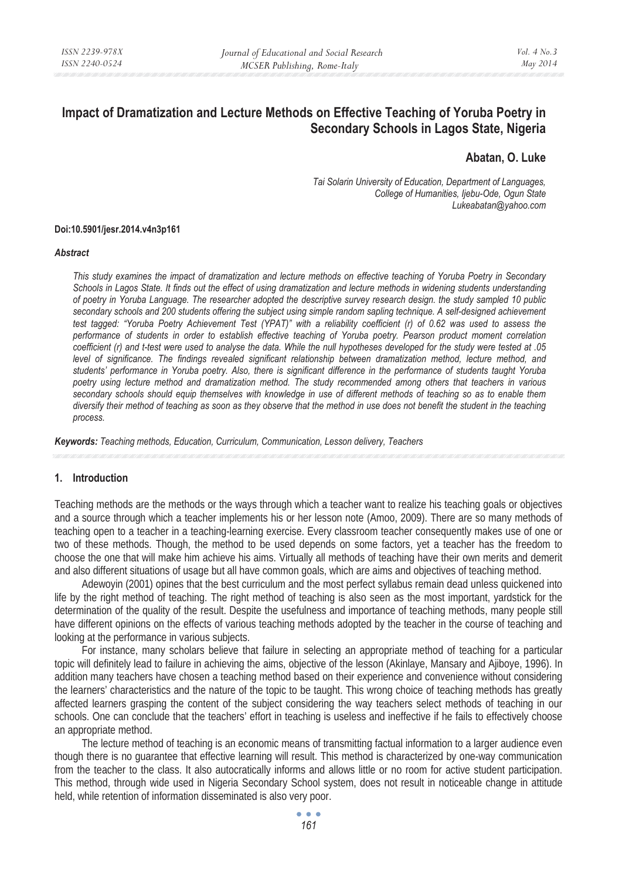# **Impact of Dramatization and Lecture Methods on Effective Teaching of Yoruba Poetry in Secondary Schools in Lagos State, Nigeria**

# **Abatan, O. Luke**

*Tai Solarin University of Education, Department of Languages, College of Humanities, Ijebu-Ode, Ogun State Lukeabatan@yahoo.com* 

#### **Doi:10.5901/jesr.2014.v4n3p161**

#### *Abstract*

*This study examines the impact of dramatization and lecture methods on effective teaching of Yoruba Poetry in Secondary Schools in Lagos State. It finds out the effect of using dramatization and lecture methods in widening students understanding of poetry in Yoruba Language. The researcher adopted the descriptive survey research design. the study sampled 10 public secondary schools and 200 students offering the subject using simple random sapling technique. A self-designed achievement test tagged: "Yoruba Poetry Achievement Test (YPAT)" with a reliability coefficient (r) of 0.62 was used to assess the performance of students in order to establish effective teaching of Yoruba poetry. Pearson product moment correlation coefficient (r) and t-test were used to analyse the data. While the null hypotheses developed for the study were tested at .05*  level of significance. The findings revealed significant relationship between dramatization method, lecture method, and *students' performance in Yoruba poetry. Also, there is significant difference in the performance of students taught Yoruba poetry using lecture method and dramatization method. The study recommended among others that teachers in various secondary schools should equip themselves with knowledge in use of different methods of teaching so as to enable them diversify their method of teaching as soon as they observe that the method in use does not benefit the student in the teaching process.* 

*Keywords: Teaching methods, Education, Curriculum, Communication, Lesson delivery, Teachers* 

#### **1. Introduction**

Teaching methods are the methods or the ways through which a teacher want to realize his teaching goals or objectives and a source through which a teacher implements his or her lesson note (Amoo, 2009). There are so many methods of teaching open to a teacher in a teaching-learning exercise. Every classroom teacher consequently makes use of one or two of these methods. Though, the method to be used depends on some factors, yet a teacher has the freedom to choose the one that will make him achieve his aims. Virtually all methods of teaching have their own merits and demerit and also different situations of usage but all have common goals, which are aims and objectives of teaching method.

Adewoyin (2001) opines that the best curriculum and the most perfect syllabus remain dead unless quickened into life by the right method of teaching. The right method of teaching is also seen as the most important, yardstick for the determination of the quality of the result. Despite the usefulness and importance of teaching methods, many people still have different opinions on the effects of various teaching methods adopted by the teacher in the course of teaching and looking at the performance in various subjects.

For instance, many scholars believe that failure in selecting an appropriate method of teaching for a particular topic will definitely lead to failure in achieving the aims, objective of the lesson (Akinlaye, Mansary and Ajiboye, 1996). In addition many teachers have chosen a teaching method based on their experience and convenience without considering the learners' characteristics and the nature of the topic to be taught. This wrong choice of teaching methods has greatly affected learners grasping the content of the subject considering the way teachers select methods of teaching in our schools. One can conclude that the teachers' effort in teaching is useless and ineffective if he fails to effectively choose an appropriate method.

The lecture method of teaching is an economic means of transmitting factual information to a larger audience even though there is no guarantee that effective learning will result. This method is characterized by one-way communication from the teacher to the class. It also autocratically informs and allows little or no room for active student participation. This method, through wide used in Nigeria Secondary School system, does not result in noticeable change in attitude held, while retention of information disseminated is also very poor.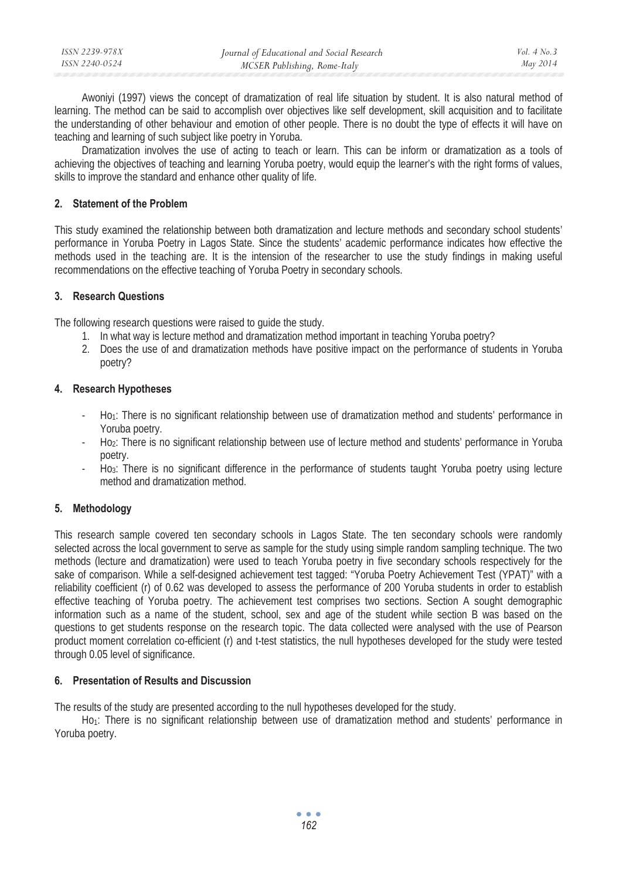| ISSN 2239-978X | Journal of Educational and Social Research | Vol. $4$ No. $3$ |
|----------------|--------------------------------------------|------------------|
| ISSN 2240-0524 | MCSER Publishing, Rome-Italy               | May 2014         |

Awoniyi (1997) views the concept of dramatization of real life situation by student. It is also natural method of learning. The method can be said to accomplish over objectives like self development, skill acquisition and to facilitate the understanding of other behaviour and emotion of other people. There is no doubt the type of effects it will have on teaching and learning of such subject like poetry in Yoruba.

Dramatization involves the use of acting to teach or learn. This can be inform or dramatization as a tools of achieving the objectives of teaching and learning Yoruba poetry, would equip the learner's with the right forms of values, skills to improve the standard and enhance other quality of life.

#### **2. Statement of the Problem**

This study examined the relationship between both dramatization and lecture methods and secondary school students' performance in Yoruba Poetry in Lagos State. Since the students' academic performance indicates how effective the methods used in the teaching are. It is the intension of the researcher to use the study findings in making useful recommendations on the effective teaching of Yoruba Poetry in secondary schools.

## **3. Research Questions**

The following research questions were raised to guide the study.

- 1. In what way is lecture method and dramatization method important in teaching Yoruba poetry?
- 2. Does the use of and dramatization methods have positive impact on the performance of students in Yoruba poetry?

## **4. Research Hypotheses**

- Ho<sub>1</sub>: There is no significant relationship between use of dramatization method and students' performance in Yoruba poetry.
- Ho2: There is no significant relationship between use of lecture method and students' performance in Yoruba poetry.
- Ho<sub>3</sub>: There is no significant difference in the performance of students taught Yoruba poetry using lecture method and dramatization method.

# **5. Methodology**

This research sample covered ten secondary schools in Lagos State. The ten secondary schools were randomly selected across the local government to serve as sample for the study using simple random sampling technique. The two methods (lecture and dramatization) were used to teach Yoruba poetry in five secondary schools respectively for the sake of comparison. While a self-designed achievement test tagged: "Yoruba Poetry Achievement Test (YPAT)" with a reliability coefficient (r) of 0.62 was developed to assess the performance of 200 Yoruba students in order to establish effective teaching of Yoruba poetry. The achievement test comprises two sections. Section A sought demographic information such as a name of the student, school, sex and age of the student while section B was based on the questions to get students response on the research topic. The data collected were analysed with the use of Pearson product moment correlation co-efficient (r) and t-test statistics, the null hypotheses developed for the study were tested through 0.05 level of significance.

# **6. Presentation of Results and Discussion**

The results of the study are presented according to the null hypotheses developed for the study.

Ho<sub>1</sub>: There is no significant relationship between use of dramatization method and students' performance in Yoruba poetry.

> $\bullet$   $\bullet$   $\bullet$ *162*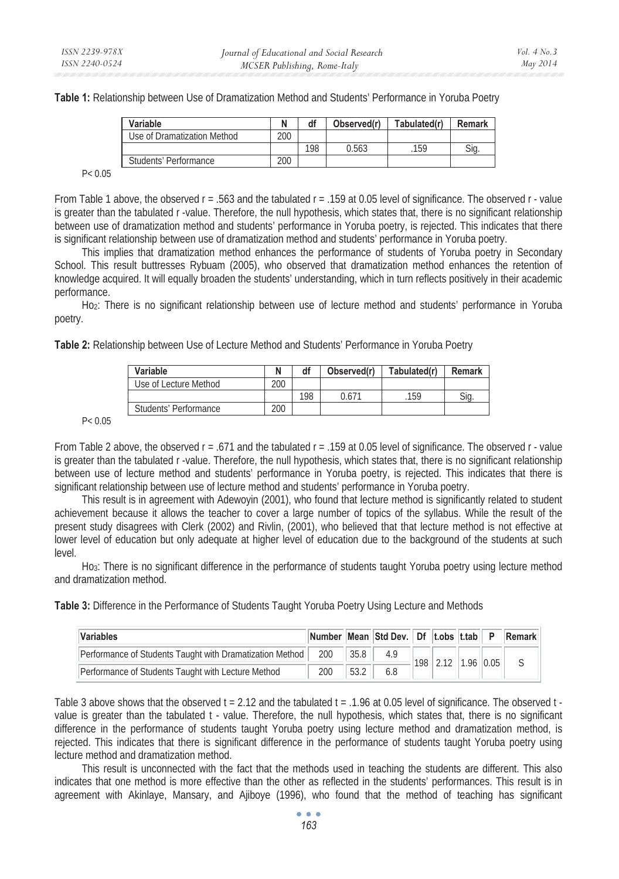**Table 1:** Relationship between Use of Dramatization Method and Students' Performance in Yoruba Poetry

| Variable                    |     | df  | Observed(r) | Tabulated(r) | Remark |  |
|-----------------------------|-----|-----|-------------|--------------|--------|--|
| Use of Dramatization Method | 200 |     |             |              |        |  |
|                             |     | 198 | 0.563       | 159          | Sia    |  |
| Students' Performance       | 200 |     |             |              |        |  |

 $P < 0.05$ 

From Table 1 above, the observed r = .563 and the tabulated r = .159 at 0.05 level of significance. The observed r - value is greater than the tabulated r -value. Therefore, the null hypothesis, which states that, there is no significant relationship between use of dramatization method and students' performance in Yoruba poetry, is rejected. This indicates that there is significant relationship between use of dramatization method and students' performance in Yoruba poetry.

This implies that dramatization method enhances the performance of students of Yoruba poetry in Secondary School. This result buttresses Rybuam (2005), who observed that dramatization method enhances the retention of knowledge acquired. It will equally broaden the students' understanding, which in turn reflects positively in their academic performance.

Ho2: There is no significant relationship between use of lecture method and students' performance in Yoruba poetry.

**Table 2:** Relationship between Use of Lecture Method and Students' Performance in Yoruba Poetry

| Variable              |     | df  | Observed(r) | Tabulated(r) | <b>Remark</b> |
|-----------------------|-----|-----|-------------|--------------|---------------|
| Use of Lecture Method | 200 |     |             |              |               |
|                       |     | 198 | 0.671       | 159          | Sia.          |
| Students' Performance | 200 |     |             |              |               |

P< 0.05

From Table 2 above, the observed r = .671 and the tabulated r = .159 at 0.05 level of significance. The observed r - value is greater than the tabulated r -value. Therefore, the null hypothesis, which states that, there is no significant relationship between use of lecture method and students' performance in Yoruba poetry, is rejected. This indicates that there is significant relationship between use of lecture method and students' performance in Yoruba poetry.

This result is in agreement with Adewoyin (2001), who found that lecture method is significantly related to student achievement because it allows the teacher to cover a large number of topics of the syllabus. While the result of the present study disagrees with Clerk (2002) and Rivlin, (2001), who believed that that lecture method is not effective at lower level of education but only adequate at higher level of education due to the background of the students at such level.

Ho3: There is no significant difference in the performance of students taught Yoruba poetry using lecture method and dramatization method.

**Table 3:** Difference in the Performance of Students Taught Yoruba Poetry Using Lecture and Methods

| <b>Variables</b>                                         |               |      | Number Mean Std Dev. Df t.obs t.tab P Remark |     |      |             |  |
|----------------------------------------------------------|---------------|------|----------------------------------------------|-----|------|-------------|--|
| Performance of Students Taught with Dramatization Method | $11200$ $113$ | 35.8 |                                              | 198 | 2.12 | $1.96$ 0.05 |  |
| Performance of Students Taught with Lecture Method       | 200           | 53.2 |                                              |     |      |             |  |

Table 3 above shows that the observed  $t = 2.12$  and the tabulated  $t = .1.96$  at 0.05 level of significance. The observed  $t$ value is greater than the tabulated t - value. Therefore, the null hypothesis, which states that, there is no significant difference in the performance of students taught Yoruba poetry using lecture method and dramatization method, is rejected. This indicates that there is significant difference in the performance of students taught Yoruba poetry using lecture method and dramatization method.

This result is unconnected with the fact that the methods used in teaching the students are different. This also indicates that one method is more effective than the other as reflected in the students' performances. This result is in agreement with Akinlaye, Mansary, and Ajiboye (1996), who found that the method of teaching has significant